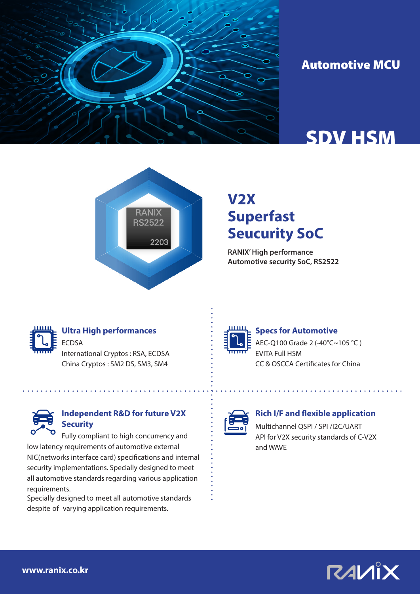

## Automotive MCU

# SDV HSM



## **V2X Superfast Seucurity SoC**

**RANIX' High performance Automotive security SoC, RS2522**



### **Ultra High performances**

ECDSA International Cryptos : RSA, ECDSA China Cryptos : SM2 DS, SM3, SM4



#### **Independent R&D for future V2X Security**

Fully compliant to high concurrency and low latency requirements of automotive external NIC(networks interface card) specifications and internal security implementations. Specially designed to meet all automotive standards regarding various application requirements.

Specially designed to meet all automotive standards despite of varying application requirements.



#### **Specs for Automotive**

AEC-Q100 Grade 2 (-40°C~105 °C ) EVITA Full HSM CC & OSCCA Certificates for China



#### **Rich I/F and flexible application**

Multichannel QSPI / SPI /I2C/UART API for V2X security standards of C-V2X and WAVE